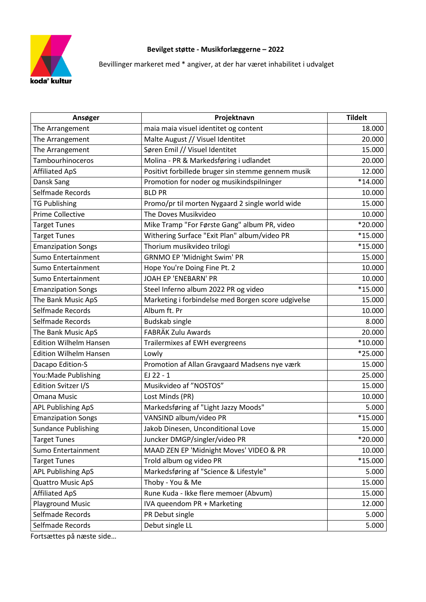

## **Bevilget støtte - Musikforlæggerne – 2022**

Bevillinger markeret med \* angiver, at der har været inhabilitet i udvalget

| Ansøger                       | Projektnavn                                        | <b>Tildelt</b> |
|-------------------------------|----------------------------------------------------|----------------|
| The Arrangement               | maia maia visuel identitet og content              | 18.000         |
| The Arrangement               | Malte August // Visuel Identitet                   | 20.000         |
| The Arrangement               | Søren Emil // Visuel Identitet                     | 15.000         |
| Tambourhinoceros              | Molina - PR & Markedsføring i udlandet             | 20.000         |
| <b>Affiliated ApS</b>         | Positivt forbillede bruger sin stemme gennem musik | 12.000         |
| Dansk Sang                    | Promotion for noder og musikindspilninger          | *14.000        |
| Selfmade Records              | <b>BLD PR</b>                                      | 10.000         |
| <b>TG Publishing</b>          | Promo/pr til morten Nygaard 2 single world wide    | 15.000         |
| <b>Prime Collective</b>       | The Doves Musikvideo                               | 10.000         |
| <b>Target Tunes</b>           | Mike Tramp "For Første Gang" album PR, video       | *20.000        |
| <b>Target Tunes</b>           | Withering Surface "Exit Plan" album/video PR       | *15.000        |
| <b>Emanzipation Songs</b>     | Thorium musikvideo trilogi                         | *15.000        |
| Sumo Entertainment            | <b>GRNMO EP 'Midnight Swim' PR</b>                 | 15.000         |
| Sumo Entertainment            | Hope You're Doing Fine Pt. 2                       | 10.000         |
| Sumo Entertainment            | JOAH EP 'ENEBARN' PR                               | 10.000         |
| <b>Emanzipation Songs</b>     | Steel Inferno album 2022 PR og video               | *15.000        |
| The Bank Music ApS            | Marketing i forbindelse med Borgen score udgivelse | 15.000         |
| Selfmade Records              | Album ft. Pr                                       | 10.000         |
| Selfmade Records              | <b>Budskab single</b>                              | 8.000          |
| The Bank Music ApS            | FABRÄK Zulu Awards                                 | 20.000         |
| <b>Edition Wilhelm Hansen</b> | Trailermixes af EWH evergreens                     | $*10.000$      |
| <b>Edition Wilhelm Hansen</b> | Lowly                                              | *25.000        |
| Dacapo Edition-S              | Promotion af Allan Gravgaard Madsens nye værk      | 15.000         |
| You: Made Publishing          | EJ 22 - 1                                          | 25.000         |
| Edition Svitzer I/S           | Musikvideo af "NOSTOS"                             | 15.000         |
| <b>Omana Music</b>            | Lost Minds (PR)                                    | 10.000         |
| <b>APL Publishing ApS</b>     | Markedsføring af "Light Jazzy Moods"               | 5.000          |
| <b>Emanzipation Songs</b>     | VANSIND album/video PR                             | *15.000        |
| <b>Sundance Publishing</b>    | Jakob Dinesen, Unconditional Love                  | 15.000         |
| <b>Target Tunes</b>           | Juncker DMGP/singler/video PR                      | *20.000        |
| Sumo Entertainment            | MAAD ZEN EP 'Midnight Moves' VIDEO & PR            | 10.000         |
| <b>Target Tunes</b>           | Trold album og video PR                            | $*15.000$      |
| APL Publishing ApS            | Markedsføring af "Science & Lifestyle"             | 5.000          |
| <b>Quattro Music ApS</b>      | Thoby - You & Me                                   | 15.000         |
| <b>Affiliated ApS</b>         | Rune Kuda - Ikke flere memoer (Abvum)              | 15.000         |
| <b>Playground Music</b>       | IVA queendom PR + Marketing                        | 12.000         |
| Selfmade Records              | PR Debut single                                    | 5.000          |
| Selfmade Records              | Debut single LL                                    | 5.000          |

Fortsættes på næste side…